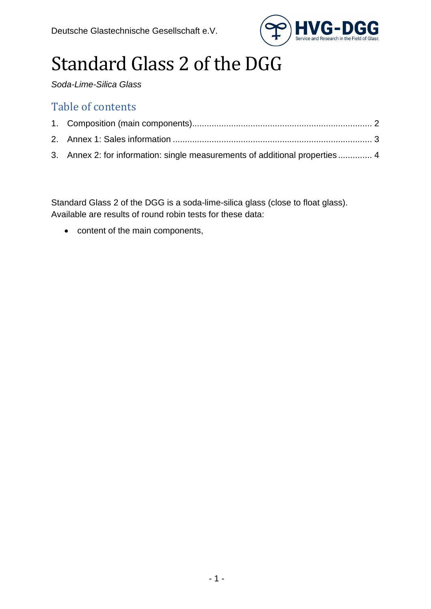

# Standard Glass 2 of the DGG

*Soda-Lime-Silica Glass*

### Table of contents

| 3. Annex 2: for information: single measurements of additional properties 4 |  |
|-----------------------------------------------------------------------------|--|

Standard Glass 2 of the DGG is a soda-lime-silica glass (close to float glass). Available are results of round robin tests for these data:

• content of the main components,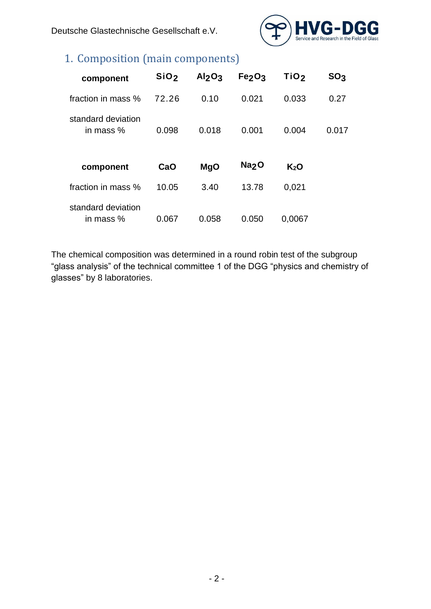Deutsche Glastechnische Gesellschaft e.V.



## <span id="page-1-0"></span>1. Composition (main components)

| component                       | SiO <sub>2</sub> | Al <sub>2</sub> O <sub>3</sub> | Fe <sub>2</sub> O <sub>3</sub> | TiO <sub>2</sub> | SO <sub>3</sub> |
|---------------------------------|------------------|--------------------------------|--------------------------------|------------------|-----------------|
| fraction in mass %              | 72.26            | 0.10                           | 0.021                          | 0.033            | 0.27            |
| standard deviation<br>in mass % | 0.098            | 0.018                          | 0.001                          | 0.004            | 0.017           |
| component                       | CaO              | <b>MgO</b>                     | Na <sub>2</sub> O              | K <sub>2</sub> O |                 |
| fraction in mass %              | 10.05            | 3.40                           | 13.78                          | 0,021            |                 |
| standard deviation<br>in mass % | 0.067            | 0.058                          | 0.050                          | 0.0067           |                 |

The chemical composition was determined in a round robin test of the subgroup "glass analysis" of the technical committee 1 of the DGG "physics and chemistry of glasses" by 8 laboratories.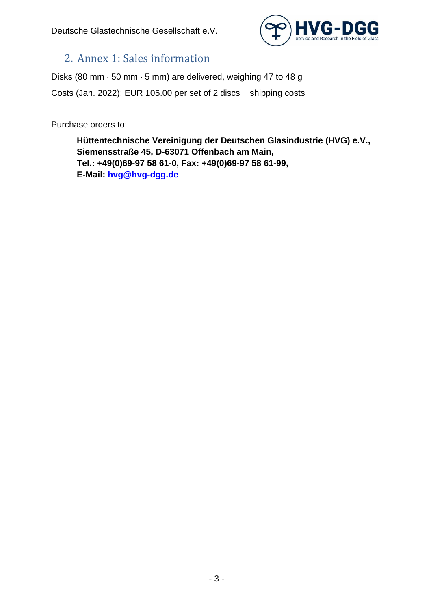

### <span id="page-2-0"></span>2. Annex 1: Sales information

Disks (80 mm  $\cdot$  50 mm  $\cdot$  5 mm) are delivered, weighing 47 to 48 g Costs (Jan. 2022): EUR 105.00 per set of 2 discs + shipping costs

Purchase orders to:

**Hüttentechnische Vereinigung der Deutschen Glasindustrie (HVG) e.V., Siemensstraße 45, D-63071 Offenbach am Main, Tel.: +49(0)69-97 58 61-0, Fax: +49(0)69-97 58 61-99, E-Mail: [hvg@hvg-dgg.de](mailto:hvg@hvg-dgg.de)**